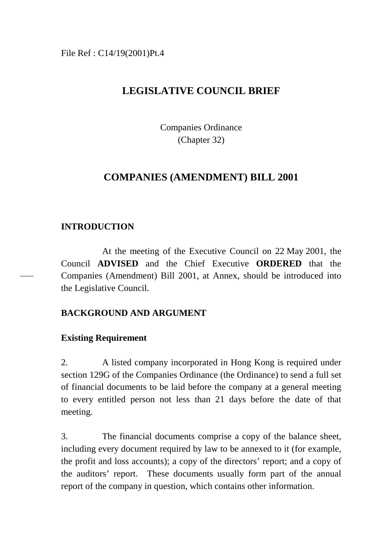### File Ref : C14/19(2001)Pt.4

# **LEGISLATIVE COUNCIL BRIEF**

Companies Ordinance (Chapter 32)

## **COMPANIES (AMENDMENT) BILL 2001**

## **INTRODUCTION**

At the meeting of the Executive Council on 22 May 2001, the Council **ADVISED** and the Chief Executive **ORDERED** that the Companies (Amendment) Bill 2001, at Annex, should be introduced into the Legislative Council.

## **BACKGROUND AND ARGUMENT**

### **Existing Requirement**

2. A listed company incorporated in Hong Kong is required under section 129G of the Companies Ordinance (the Ordinance) to send a full set of financial documents to be laid before the company at a general meeting to every entitled person not less than 21 days before the date of that meeting.

3. The financial documents comprise a copy of the balance sheet, including every document required by law to be annexed to it (for example, the profit and loss accounts); a copy of the directors' report; and a copy of the auditors' report. These documents usually form part of the annual report of the company in question, which contains other information.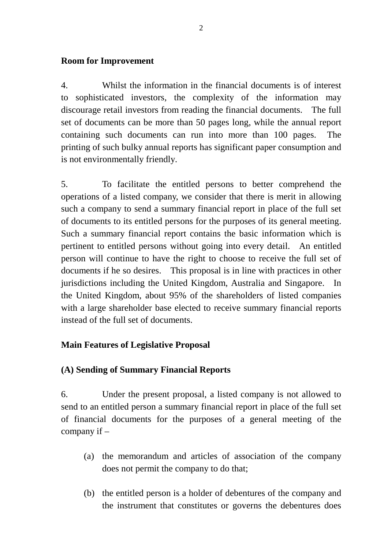### **Room for Improvement**

4. Whilst the information in the financial documents is of interest to sophisticated investors, the complexity of the information may discourage retail investors from reading the financial documents. The full set of documents can be more than 50 pages long, while the annual report containing such documents can run into more than 100 pages. The printing of such bulky annual reports has significant paper consumption and is not environmentally friendly.

5. To facilitate the entitled persons to better comprehend the operations of a listed company, we consider that there is merit in allowing such a company to send a summary financial report in place of the full set of documents to its entitled persons for the purposes of its general meeting. Such a summary financial report contains the basic information which is pertinent to entitled persons without going into every detail. An entitled person will continue to have the right to choose to receive the full set of documents if he so desires. This proposal is in line with practices in other jurisdictions including the United Kingdom, Australia and Singapore. In the United Kingdom, about 95% of the shareholders of listed companies with a large shareholder base elected to receive summary financial reports instead of the full set of documents.

### **Main Features of Legislative Proposal**

### **(A) Sending of Summary Financial Reports**

6. Under the present proposal, a listed company is not allowed to send to an entitled person a summary financial report in place of the full set of financial documents for the purposes of a general meeting of the company if –

- (a) the memorandum and articles of association of the company does not permit the company to do that;
- (b) the entitled person is a holder of debentures of the company and the instrument that constitutes or governs the debentures does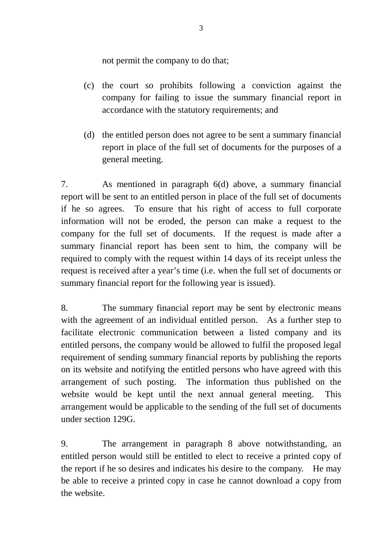not permit the company to do that;

- (c) the court so prohibits following a conviction against the company for failing to issue the summary financial report in accordance with the statutory requirements; and
- (d) the entitled person does not agree to be sent a summary financial report in place of the full set of documents for the purposes of a general meeting.

7. As mentioned in paragraph 6(d) above, a summary financial report will be sent to an entitled person in place of the full set of documents if he so agrees. To ensure that his right of access to full corporate information will not be eroded, the person can make a request to the company for the full set of documents. If the request is made after a summary financial report has been sent to him, the company will be required to comply with the request within 14 days of its receipt unless the request is received after a year's time (i.e. when the full set of documents or summary financial report for the following year is issued).

8. The summary financial report may be sent by electronic means with the agreement of an individual entitled person. As a further step to facilitate electronic communication between a listed company and its entitled persons, the company would be allowed to fulfil the proposed legal requirement of sending summary financial reports by publishing the reports on its website and notifying the entitled persons who have agreed with this arrangement of such posting. The information thus published on the website would be kept until the next annual general meeting. This arrangement would be applicable to the sending of the full set of documents under section 129G.

9. The arrangement in paragraph 8 above notwithstanding, an entitled person would still be entitled to elect to receive a printed copy of the report if he so desires and indicates his desire to the company. He may be able to receive a printed copy in case he cannot download a copy from the website.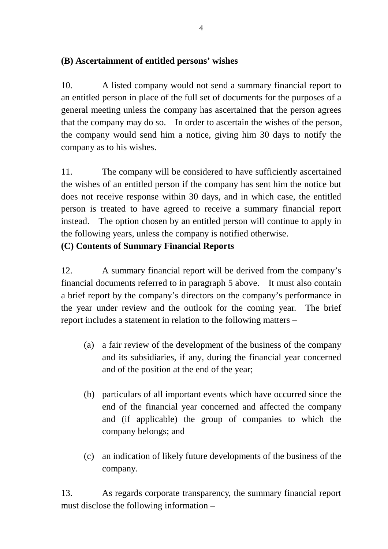## **(B) Ascertainment of entitled persons' wishes**

10. A listed company would not send a summary financial report to an entitled person in place of the full set of documents for the purposes of a general meeting unless the company has ascertained that the person agrees that the company may do so. In order to ascertain the wishes of the person, the company would send him a notice, giving him 30 days to notify the company as to his wishes.

11. The company will be considered to have sufficiently ascertained the wishes of an entitled person if the company has sent him the notice but does not receive response within 30 days, and in which case, the entitled person is treated to have agreed to receive a summary financial report instead. The option chosen by an entitled person will continue to apply in the following years, unless the company is notified otherwise.

## **(C) Contents of Summary Financial Reports**

12. A summary financial report will be derived from the company's financial documents referred to in paragraph 5 above. It must also contain a brief report by the company's directors on the company's performance in the year under review and the outlook for the coming year. The brief report includes a statement in relation to the following matters –

- (a) a fair review of the development of the business of the company and its subsidiaries, if any, during the financial year concerned and of the position at the end of the year;
- (b) particulars of all important events which have occurred since the end of the financial year concerned and affected the company and (if applicable) the group of companies to which the company belongs; and
- (c) an indication of likely future developments of the business of the company.

13. As regards corporate transparency, the summary financial report must disclose the following information –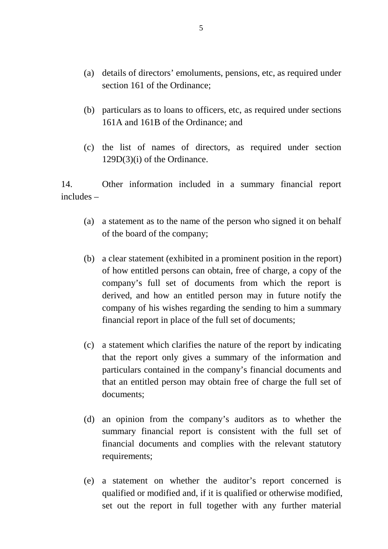- (a) details of directors' emoluments, pensions, etc, as required under section 161 of the Ordinance;
- (b) particulars as to loans to officers, etc, as required under sections 161A and 161B of the Ordinance; and
- (c) the list of names of directors, as required under section 129D(3)(i) of the Ordinance.

14. Other information included in a summary financial report includes –

- (a) a statement as to the name of the person who signed it on behalf of the board of the company;
- (b) a clear statement (exhibited in a prominent position in the report) of how entitled persons can obtain, free of charge, a copy of the company's full set of documents from which the report is derived, and how an entitled person may in future notify the company of his wishes regarding the sending to him a summary financial report in place of the full set of documents;
- (c) a statement which clarifies the nature of the report by indicating that the report only gives a summary of the information and particulars contained in the company's financial documents and that an entitled person may obtain free of charge the full set of documents;
- (d) an opinion from the company's auditors as to whether the summary financial report is consistent with the full set of financial documents and complies with the relevant statutory requirements;
- (e) a statement on whether the auditor's report concerned is qualified or modified and, if it is qualified or otherwise modified, set out the report in full together with any further material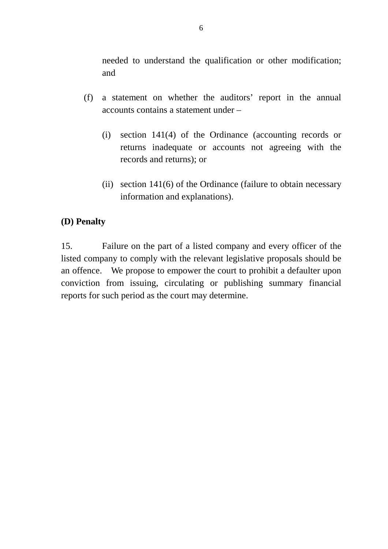needed to understand the qualification or other modification; and

- (f) a statement on whether the auditors' report in the annual accounts contains a statement under –
	- (i) section 141(4) of the Ordinance (accounting records or returns inadequate or accounts not agreeing with the records and returns); or
	- (ii) section 141(6) of the Ordinance (failure to obtain necessary information and explanations).

## **(D) Penalty**

15. Failure on the part of a listed company and every officer of the listed company to comply with the relevant legislative proposals should be an offence. We propose to empower the court to prohibit a defaulter upon conviction from issuing, circulating or publishing summary financial reports for such period as the court may determine.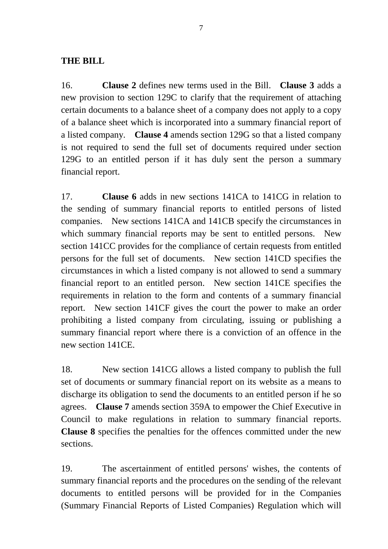### **THE BILL**

16. **Clause 2** defines new terms used in the Bill. **Clause 3** adds a new provision to section 129C to clarify that the requirement of attaching certain documents to a balance sheet of a company does not apply to a copy of a balance sheet which is incorporated into a summary financial report of a listed company. **Clause 4** amends section 129G so that a listed company is not required to send the full set of documents required under section 129G to an entitled person if it has duly sent the person a summary financial report.

17. **Clause 6** adds in new sections 141CA to 141CG in relation to the sending of summary financial reports to entitled persons of listed companies. New sections 141CA and 141CB specify the circumstances in which summary financial reports may be sent to entitled persons. New section 141CC provides for the compliance of certain requests from entitled persons for the full set of documents. New section 141CD specifies the circumstances in which a listed company is not allowed to send a summary financial report to an entitled person. New section 141CE specifies the requirements in relation to the form and contents of a summary financial report. New section 141CF gives the court the power to make an order prohibiting a listed company from circulating, issuing or publishing a summary financial report where there is a conviction of an offence in the new section 141CE.

18. New section 141CG allows a listed company to publish the full set of documents or summary financial report on its website as a means to discharge its obligation to send the documents to an entitled person if he so agrees. **Clause 7** amends section 359A to empower the Chief Executive in Council to make regulations in relation to summary financial reports. **Clause 8** specifies the penalties for the offences committed under the new sections.

19. The ascertainment of entitled persons' wishes, the contents of summary financial reports and the procedures on the sending of the relevant documents to entitled persons will be provided for in the Companies (Summary Financial Reports of Listed Companies) Regulation which will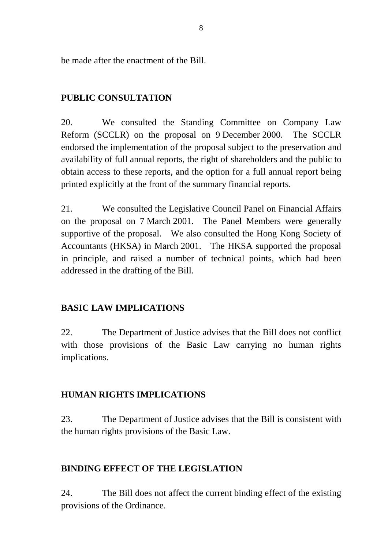be made after the enactment of the Bill.

## **PUBLIC CONSULTATION**

20. We consulted the Standing Committee on Company Law Reform (SCCLR) on the proposal on 9 December 2000. The SCCLR endorsed the implementation of the proposal subject to the preservation and availability of full annual reports, the right of shareholders and the public to obtain access to these reports, and the option for a full annual report being printed explicitly at the front of the summary financial reports.

21. We consulted the Legislative Council Panel on Financial Affairs on the proposal on 7 March 2001. The Panel Members were generally supportive of the proposal. We also consulted the Hong Kong Society of Accountants (HKSA) in March 2001. The HKSA supported the proposal in principle, and raised a number of technical points, which had been addressed in the drafting of the Bill.

## **BASIC LAW IMPLICATIONS**

22. The Department of Justice advises that the Bill does not conflict with those provisions of the Basic Law carrying no human rights implications.

## **HUMAN RIGHTS IMPLICATIONS**

23. The Department of Justice advises that the Bill is consistent with the human rights provisions of the Basic Law.

## **BINDING EFFECT OF THE LEGISLATION**

24. The Bill does not affect the current binding effect of the existing provisions of the Ordinance.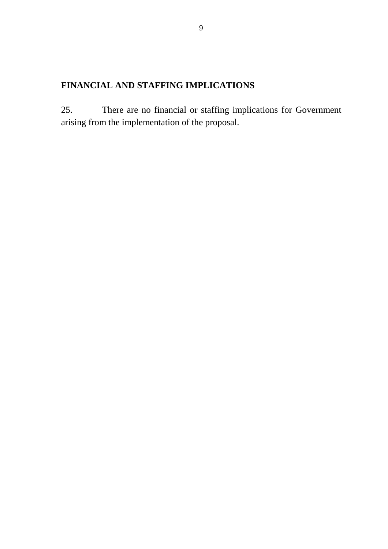# **FINANCIAL AND STAFFING IMPLICATIONS**

25. There are no financial or staffing implications for Government arising from the implementation of the proposal.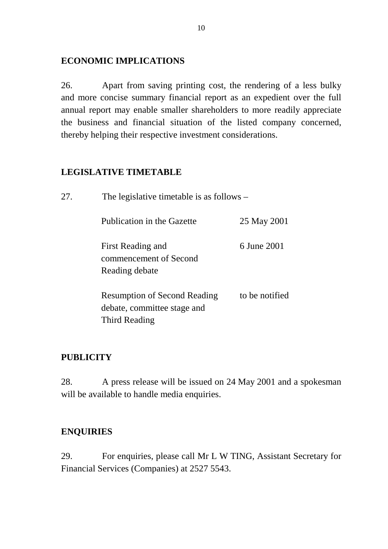### **ECONOMIC IMPLICATIONS**

26. Apart from saving printing cost, the rendering of a less bulky and more concise summary financial report as an expedient over the full annual report may enable smaller shareholders to more readily appreciate the business and financial situation of the listed company concerned, thereby helping their respective investment considerations.

## **LEGISLATIVE TIMETABLE**

| 27. | The legislative timetable is as follows $-$                                         |                |  |
|-----|-------------------------------------------------------------------------------------|----------------|--|
|     | Publication in the Gazette                                                          | 25 May 2001    |  |
|     | First Reading and<br>commencement of Second<br>Reading debate                       | 6 June 2001    |  |
|     | <b>Resumption of Second Reading</b><br>debate, committee stage and<br>Third Reading | to be notified |  |

## **PUBLICITY**

28. A press release will be issued on 24 May 2001 and a spokesman will be available to handle media enquiries.

## **ENQUIRIES**

29. For enquiries, please call Mr L W TING, Assistant Secretary for Financial Services (Companies) at 2527 5543.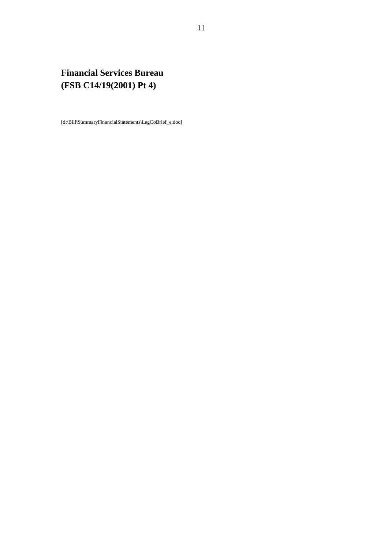# **Financial Services Bureau (FSB C14/19(2001) Pt 4)**

[d:\Bill\SummaryFinancialStatements\LegCoBrief\_e.doc]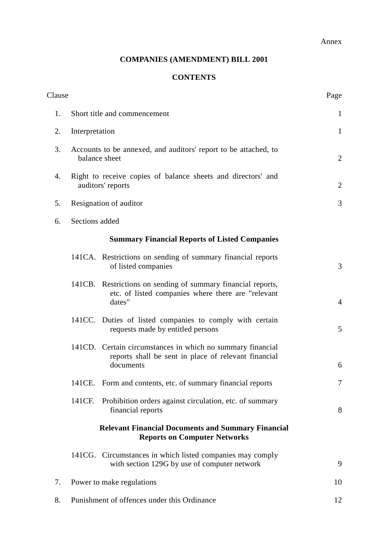Annex

### **COMPANIES (AMENDMENT) BILL 2001**

### **CONTENTS**

| Clause |                                                                                   |                                                                                                                                 | Page           |  |  |  |
|--------|-----------------------------------------------------------------------------------|---------------------------------------------------------------------------------------------------------------------------------|----------------|--|--|--|
| 1.     | Short title and commencement                                                      |                                                                                                                                 |                |  |  |  |
| 2.     | Interpretation                                                                    | $\mathbf{1}$                                                                                                                    |                |  |  |  |
| 3.     | Accounts to be annexed, and auditors' report to be attached, to<br>balance sheet  |                                                                                                                                 |                |  |  |  |
| 4.     | Right to receive copies of balance sheets and directors' and<br>auditors' reports |                                                                                                                                 |                |  |  |  |
| 5.     | Resignation of auditor                                                            |                                                                                                                                 |                |  |  |  |
| 6.     | Sections added                                                                    |                                                                                                                                 |                |  |  |  |
|        |                                                                                   | <b>Summary Financial Reports of Listed Companies</b>                                                                            |                |  |  |  |
|        |                                                                                   | 141CA. Restrictions on sending of summary financial reports<br>of listed companies                                              | 3              |  |  |  |
|        |                                                                                   | 141CB. Restrictions on sending of summary financial reports,<br>etc. of listed companies where there are "relevant<br>dates"    | $\overline{4}$ |  |  |  |
|        |                                                                                   | 141CC. Duties of listed companies to comply with certain<br>requests made by entitled persons                                   | 5              |  |  |  |
|        |                                                                                   | 141CD. Certain circumstances in which no summary financial<br>reports shall be sent in place of relevant financial<br>documents | 6              |  |  |  |
|        |                                                                                   | 141CE. Form and contents, etc. of summary financial reports                                                                     | 7              |  |  |  |
|        | 141CF.                                                                            | Prohibition orders against circulation, etc. of summary<br>financial reports                                                    | 8              |  |  |  |
|        |                                                                                   | <b>Relevant Financial Documents and Summary Financial</b><br><b>Reports on Computer Networks</b>                                |                |  |  |  |
|        |                                                                                   | 141CG. Circumstances in which listed companies may comply<br>with section 129G by use of computer network                       | 9              |  |  |  |
| 7.     |                                                                                   | Power to make regulations                                                                                                       | 10             |  |  |  |
| 8.     |                                                                                   | Punishment of offences under this Ordinance                                                                                     | 12             |  |  |  |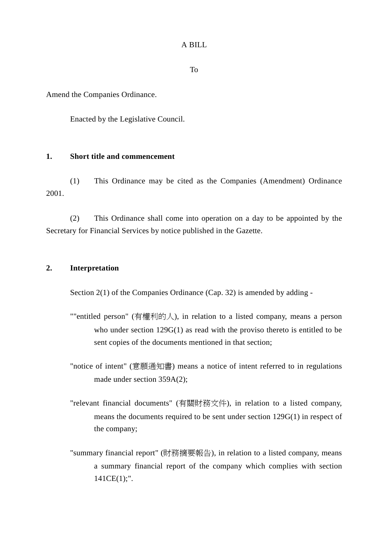#### A BILL

To

Amend the Companies Ordinance.

Enacted by the Legislative Council.

#### **1. Short title and commencement**

(1) This Ordinance may be cited as the Companies (Amendment) Ordinance 2001.

(2) This Ordinance shall come into operation on a day to be appointed by the Secretary for Financial Services by notice published in the Gazette.

#### **2. Interpretation**

Section 2(1) of the Companies Ordinance (Cap. 32) is amended by adding -

- ""entitled person" (有權利的人), in relation to a listed company, means a person who under section 129G(1) as read with the proviso thereto is entitled to be sent copies of the documents mentioned in that section;
- "notice of intent" (意願通知書) means a notice of intent referred to in regulations made under section 359A(2);
- "relevant financial documents" (有關財務文件), in relation to a listed company, means the documents required to be sent under section 129G(1) in respect of the company;
- "summary financial report" (財務摘要報告), in relation to a listed company, means a summary financial report of the company which complies with section  $141CE(1);".$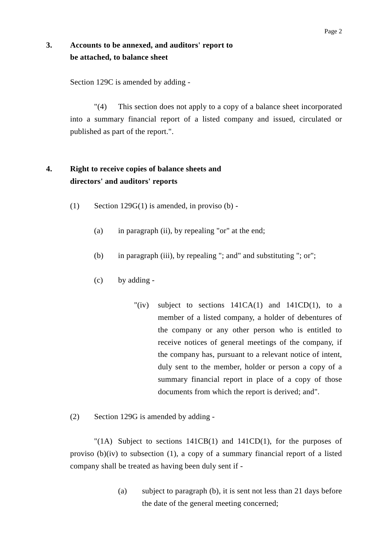### **3. Accounts to be annexed, and auditors' report to be attached, to balance sheet**

Section 129C is amended by adding -

"(4) This section does not apply to a copy of a balance sheet incorporated into a summary financial report of a listed company and issued, circulated or published as part of the report.".

## **4. Right to receive copies of balance sheets and directors' and auditors' reports**

- (1) Section 129 $G(1)$  is amended, in proviso (b) -
	- (a) in paragraph (ii), by repealing "or" at the end;
	- (b) in paragraph (iii), by repealing "; and" and substituting "; or";
	- (c) by adding
		- "(iv) subject to sections  $141CA(1)$  and  $141CD(1)$ , to a member of a listed company, a holder of debentures of the company or any other person who is entitled to receive notices of general meetings of the company, if the company has, pursuant to a relevant notice of intent, duly sent to the member, holder or person a copy of a summary financial report in place of a copy of those documents from which the report is derived; and".
- (2) Section 129G is amended by adding -

"(1A) Subject to sections  $141CB(1)$  and  $141CD(1)$ , for the purposes of proviso (b)(iv) to subsection (1), a copy of a summary financial report of a listed company shall be treated as having been duly sent if -

> (a) subject to paragraph (b), it is sent not less than 21 days before the date of the general meeting concerned;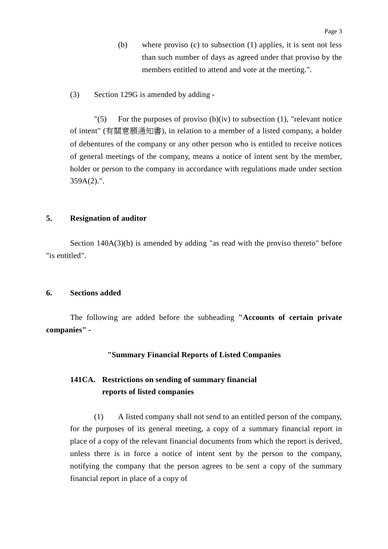- (b) where proviso (c) to subsection (1) applies, it is sent not less than such number of days as agreed under that proviso by the members entitled to attend and vote at the meeting.".
- (3) Section 129G is amended by adding -

 $\Gamma(5)$  For the purposes of proviso (b)(iv) to subsection (1), "relevant notice" of intent" (有關意願通知書), in relation to a member of a listed company, a holder of debentures of the company or any other person who is entitled to receive notices of general meetings of the company, means a notice of intent sent by the member, holder or person to the company in accordance with regulations made under section 359A(2).".

#### **5. Resignation of auditor**

Section 140A(3)(b) is amended by adding "as read with the proviso thereto" before "is entitled".

#### **6. Sections added**

The following are added before the subheading **"Accounts of certain private companies" -**

#### **"Summary Financial Reports of Listed Companies**

### **141CA. Restrictions on sending of summary financial reports of listed companies**

(1) A listed company shall not send to an entitled person of the company, for the purposes of its general meeting, a copy of a summary financial report in place of a copy of the relevant financial documents from which the report is derived, unless there is in force a notice of intent sent by the person to the company, notifying the company that the person agrees to be sent a copy of the summary financial report in place of a copy of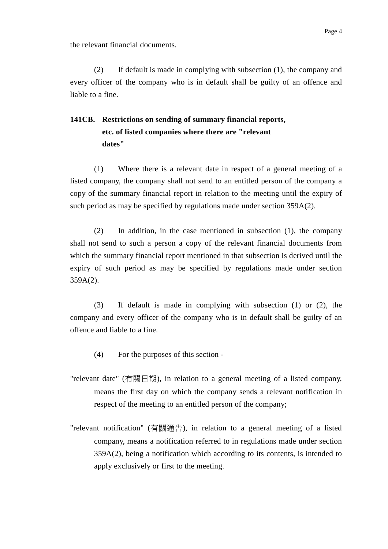the relevant financial documents.

(2) If default is made in complying with subsection (1), the company and every officer of the company who is in default shall be guilty of an offence and liable to a fine.

## **141CB. Restrictions on sending of summary financial reports, etc. of listed companies where there are "relevant dates"**

(1) Where there is a relevant date in respect of a general meeting of a listed company, the company shall not send to an entitled person of the company a copy of the summary financial report in relation to the meeting until the expiry of such period as may be specified by regulations made under section 359A(2).

(2) In addition, in the case mentioned in subsection (1), the company shall not send to such a person a copy of the relevant financial documents from which the summary financial report mentioned in that subsection is derived until the expiry of such period as may be specified by regulations made under section 359A(2).

(3) If default is made in complying with subsection (1) or (2), the company and every officer of the company who is in default shall be guilty of an offence and liable to a fine.

- (4) For the purposes of this section -
- "relevant date" (有關日期), in relation to a general meeting of a listed company, means the first day on which the company sends a relevant notification in respect of the meeting to an entitled person of the company;
- "relevant notification" (有關通告), in relation to a general meeting of a listed company, means a notification referred to in regulations made under section 359A(2), being a notification which according to its contents, is intended to apply exclusively or first to the meeting.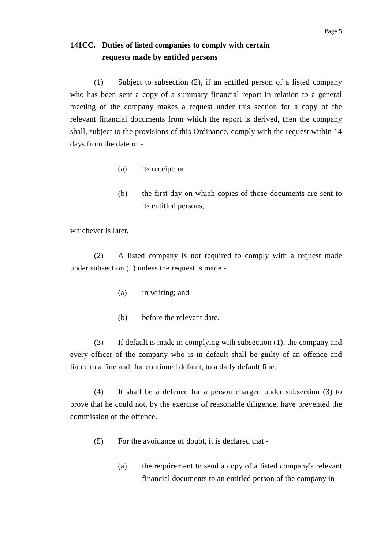### **141CC. Duties of listed companies to comply with certain requests made by entitled persons**

(1) Subject to subsection (2), if an entitled person of a listed company who has been sent a copy of a summary financial report in relation to a general meeting of the company makes a request under this section for a copy of the relevant financial documents from which the report is derived, then the company shall, subject to the provisions of this Ordinance, comply with the request within 14 days from the date of -

- (a) its receipt; or
- (b) the first day on which copies of those documents are sent to its entitled persons,

whichever is later.

(2) A listed company is not required to comply with a request made under subsection (1) unless the request is made -

- (a) in writing; and
- (b) before the relevant date.

(3) If default is made in complying with subsection (1), the company and every officer of the company who is in default shall be guilty of an offence and liable to a fine and, for continued default, to a daily default fine.

(4) It shall be a defence for a person charged under subsection (3) to prove that he could not, by the exercise of reasonable diligence, have prevented the commission of the offence.

- (5) For the avoidance of doubt, it is declared that
	- (a) the requirement to send a copy of a listed company's relevant financial documents to an entitled person of the company in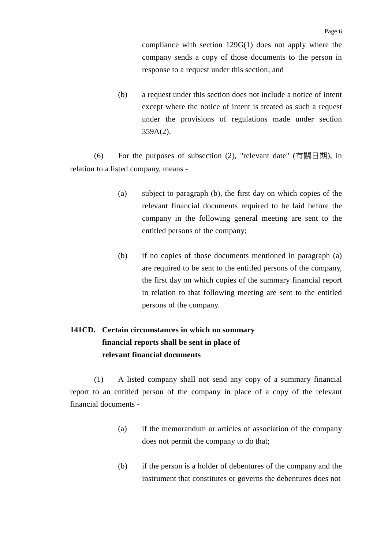compliance with section 129G(1) does not apply where the company sends a copy of those documents to the person in response to a request under this section; and

(b) a request under this section does not include a notice of intent except where the notice of intent is treated as such a request under the provisions of regulations made under section 359A(2).

(6) For the purposes of subsection  $(2)$ , "relevant date" (有關日期), in relation to a listed company, means -

- (a) subject to paragraph (b), the first day on which copies of the relevant financial documents required to be laid before the company in the following general meeting are sent to the entitled persons of the company;
- (b) if no copies of those documents mentioned in paragraph (a) are required to be sent to the entitled persons of the company, the first day on which copies of the summary financial report in relation to that following meeting are sent to the entitled persons of the company.

## **141CD. Certain circumstances in which no summary financial reports shall be sent in place of relevant financial documents**

(1) A listed company shall not send any copy of a summary financial report to an entitled person of the company in place of a copy of the relevant financial documents -

- (a) if the memorandum or articles of association of the company does not permit the company to do that;
- (b) if the person is a holder of debentures of the company and the instrument that constitutes or governs the debentures does not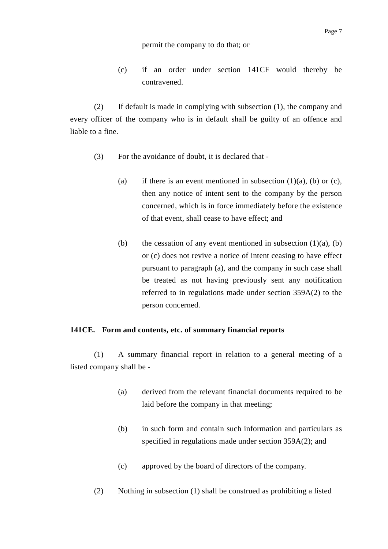#### permit the company to do that; or

(c) if an order under section 141CF would thereby be contravened.

(2) If default is made in complying with subsection (1), the company and every officer of the company who is in default shall be guilty of an offence and liable to a fine.

- (3) For the avoidance of doubt, it is declared that
	- (a) if there is an event mentioned in subsection  $(1)(a)$ ,  $(b)$  or  $(c)$ , then any notice of intent sent to the company by the person concerned, which is in force immediately before the existence of that event, shall cease to have effect; and
	- (b) the cessation of any event mentioned in subsection  $(1)(a)$ ,  $(b)$ or (c) does not revive a notice of intent ceasing to have effect pursuant to paragraph (a), and the company in such case shall be treated as not having previously sent any notification referred to in regulations made under section 359A(2) to the person concerned.

#### **141CE. Form and contents, etc. of summary financial reports**

(1) A summary financial report in relation to a general meeting of a listed company shall be -

- (a) derived from the relevant financial documents required to be laid before the company in that meeting;
- (b) in such form and contain such information and particulars as specified in regulations made under section 359A(2); and
- (c) approved by the board of directors of the company.
- (2) Nothing in subsection (1) shall be construed as prohibiting a listed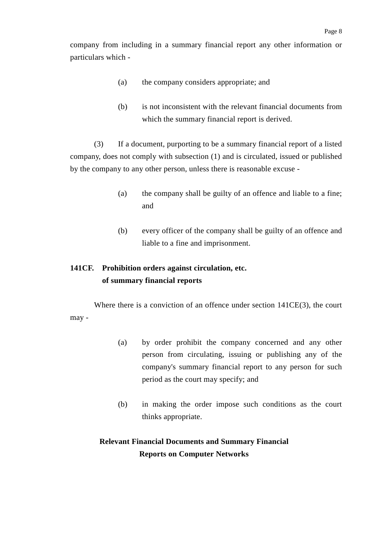company from including in a summary financial report any other information or particulars which -

- (a) the company considers appropriate; and
- (b) is not inconsistent with the relevant financial documents from which the summary financial report is derived.

(3) If a document, purporting to be a summary financial report of a listed company, does not comply with subsection (1) and is circulated, issued or published by the company to any other person, unless there is reasonable excuse -

- (a) the company shall be guilty of an offence and liable to a fine; and
- (b) every officer of the company shall be guilty of an offence and liable to a fine and imprisonment.

## **141CF. Prohibition orders against circulation, etc. of summary financial reports**

Where there is a conviction of an offence under section 141CE(3), the court may -

- (a) by order prohibit the company concerned and any other person from circulating, issuing or publishing any of the company's summary financial report to any person for such period as the court may specify; and
- (b) in making the order impose such conditions as the court thinks appropriate.

## **Relevant Financial Documents and Summary Financial Reports on Computer Networks**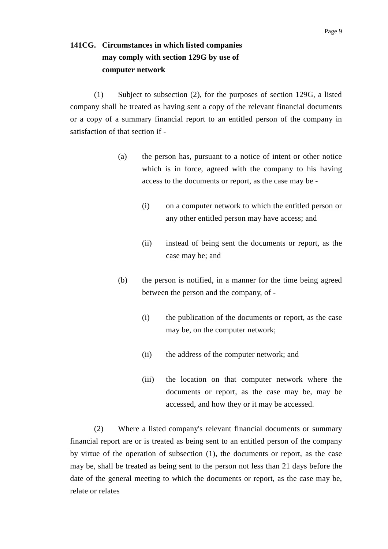## **141CG. Circumstances in which listed companies may comply with section 129G by use of computer network**

(1) Subject to subsection (2), for the purposes of section 129G, a listed company shall be treated as having sent a copy of the relevant financial documents or a copy of a summary financial report to an entitled person of the company in satisfaction of that section if -

- (a) the person has, pursuant to a notice of intent or other notice which is in force, agreed with the company to his having access to the documents or report, as the case may be -
	- (i) on a computer network to which the entitled person or any other entitled person may have access; and
	- (ii) instead of being sent the documents or report, as the case may be; and
- (b) the person is notified, in a manner for the time being agreed between the person and the company, of -
	- (i) the publication of the documents or report, as the case may be, on the computer network;
	- (ii) the address of the computer network; and
	- (iii) the location on that computer network where the documents or report, as the case may be, may be accessed, and how they or it may be accessed.

(2) Where a listed company's relevant financial documents or summary financial report are or is treated as being sent to an entitled person of the company by virtue of the operation of subsection (1), the documents or report, as the case may be, shall be treated as being sent to the person not less than 21 days before the date of the general meeting to which the documents or report, as the case may be, relate or relates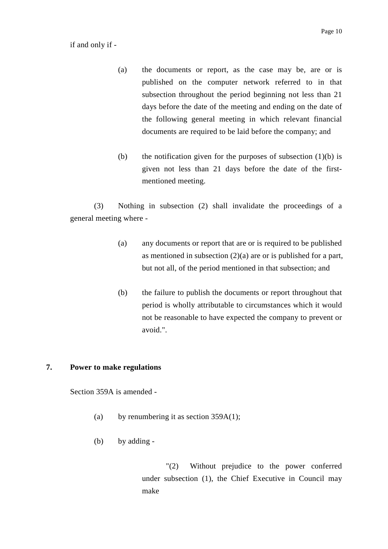if and only if -

- (a) the documents or report, as the case may be, are or is published on the computer network referred to in that subsection throughout the period beginning not less than 21 days before the date of the meeting and ending on the date of the following general meeting in which relevant financial documents are required to be laid before the company; and
- (b) the notification given for the purposes of subsection  $(1)(b)$  is given not less than 21 days before the date of the firstmentioned meeting.

(3) Nothing in subsection (2) shall invalidate the proceedings of a general meeting where -

- (a) any documents or report that are or is required to be published as mentioned in subsection  $(2)(a)$  are or is published for a part, but not all, of the period mentioned in that subsection; and
- (b) the failure to publish the documents or report throughout that period is wholly attributable to circumstances which it would not be reasonable to have expected the company to prevent or avoid.".

#### **7. Power to make regulations**

Section 359A is amended -

- (a) by renumbering it as section  $359A(1)$ ;
- (b) by adding -

"(2) Without prejudice to the power conferred under subsection (1), the Chief Executive in Council may make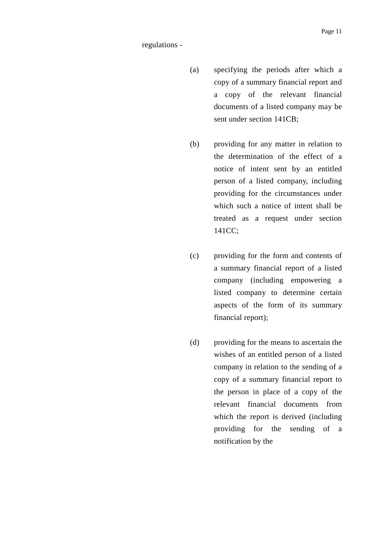#### regulations -

- (a) specifying the periods after which a copy of a summary financial report and a copy of the relevant financial documents of a listed company may be sent under section 141CB;
- (b) providing for any matter in relation to the determination of the effect of a notice of intent sent by an entitled person of a listed company, including providing for the circumstances under which such a notice of intent shall be treated as a request under section 141CC;
- (c) providing for the form and contents of a summary financial report of a listed company (including empowering a listed company to determine certain aspects of the form of its summary financial report);
- (d) providing for the means to ascertain the wishes of an entitled person of a listed company in relation to the sending of a copy of a summary financial report to the person in place of a copy of the relevant financial documents from which the report is derived (including providing for the sending of a notification by the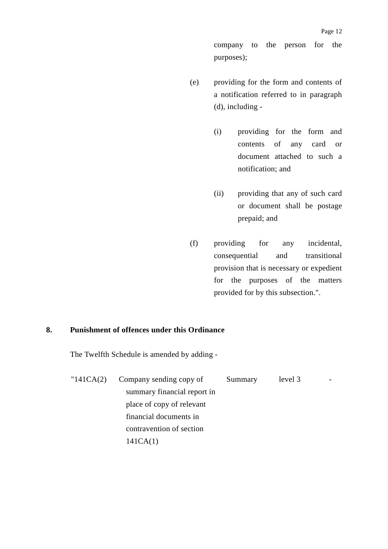company to the person for the purposes);

- (e) providing for the form and contents of a notification referred to in paragraph (d), including -
	- (i) providing for the form and contents of any card or document attached to such a notification; and
	- (ii) providing that any of such card or document shall be postage prepaid; and
- (f) providing for any incidental, consequential and transitional provision that is necessary or expedient for the purposes of the matters provided for by this subsection.".

#### **8. Punishment of offences under this Ordinance**

The Twelfth Schedule is amended by adding -

"141CA(2) Company sending copy of summary financial report in place of copy of relevant financial documents in contravention of section 141CA(1) Summary level 3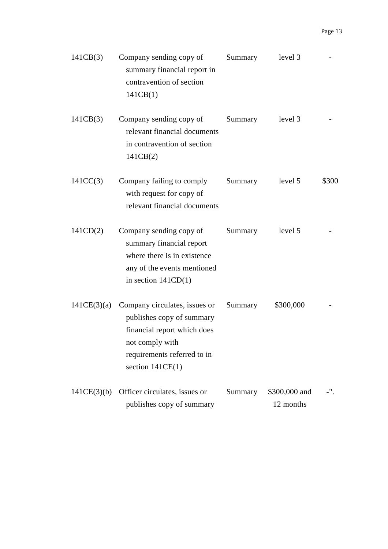| 141CB(3)    | Company sending copy of<br>summary financial report in<br>contravention of section<br>141CB(1)                                                                    | Summary | level 3                    |       |
|-------------|-------------------------------------------------------------------------------------------------------------------------------------------------------------------|---------|----------------------------|-------|
| 141CB(3)    | Company sending copy of<br>relevant financial documents<br>in contravention of section<br>141CB(2)                                                                | Summary | level 3                    |       |
| 141CC(3)    | Company failing to comply<br>with request for copy of<br>relevant financial documents                                                                             | Summary | level 5                    | \$300 |
| 141CD(2)    | Company sending copy of<br>summary financial report<br>where there is in existence<br>any of the events mentioned<br>in section $141CD(1)$                        | Summary | level 5                    |       |
| 141CE(3)(a) | Company circulates, issues or<br>publishes copy of summary<br>financial report which does<br>not comply with<br>requirements referred to in<br>section $141CE(1)$ | Summary | \$300,000                  |       |
| 141CE(3)(b) | Officer circulates, issues or<br>publishes copy of summary                                                                                                        | Summary | \$300,000 and<br>12 months |       |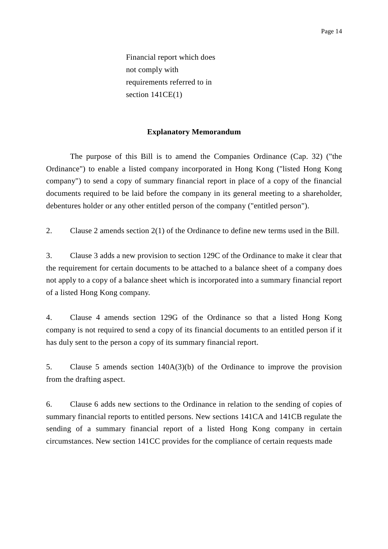Financial report which does not comply with requirements referred to in section  $141CE(1)$ 

#### **Explanatory Memorandum**

The purpose of this Bill is to amend the Companies Ordinance (Cap. 32) ("the Ordinance") to enable a listed company incorporated in Hong Kong ("listed Hong Kong company") to send a copy of summary financial report in place of a copy of the financial documents required to be laid before the company in its general meeting to a shareholder, debentures holder or any other entitled person of the company ("entitled person").

2. Clause 2 amends section 2(1) of the Ordinance to define new terms used in the Bill.

3. Clause 3 adds a new provision to section 129C of the Ordinance to make it clear that the requirement for certain documents to be attached to a balance sheet of a company does not apply to a copy of a balance sheet which is incorporated into a summary financial report of a listed Hong Kong company.

4. Clause 4 amends section 129G of the Ordinance so that a listed Hong Kong company is not required to send a copy of its financial documents to an entitled person if it has duly sent to the person a copy of its summary financial report.

5. Clause 5 amends section 140A(3)(b) of the Ordinance to improve the provision from the drafting aspect.

6. Clause 6 adds new sections to the Ordinance in relation to the sending of copies of summary financial reports to entitled persons. New sections 141CA and 141CB regulate the sending of a summary financial report of a listed Hong Kong company in certain circumstances. New section 141CC provides for the compliance of certain requests made